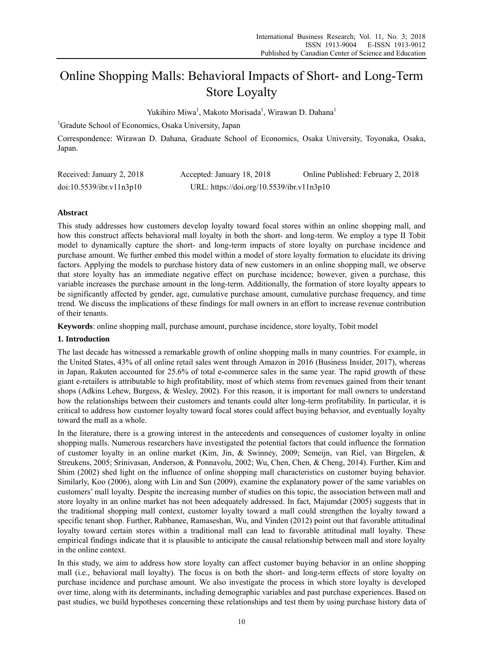# Online Shopping Malls: Behavioral Impacts of Short- and Long-Term Store Loyalty

Yukihiro Miwa<sup>1</sup>, Makoto Morisada<sup>1</sup>, Wirawan D. Dahana<sup>1</sup>

<sup>1</sup>Gradute School of Economics, Osaka University, Japan

Correspondence: Wirawan D. Dahana, Graduate School of Economics, Osaka University, Toyonaka, Osaka, Japan.

| Received: January 2, 2018 | Accepted: January 18, 2018                | Online Published: February 2, 2018 |
|---------------------------|-------------------------------------------|------------------------------------|
| doi:10.5539/ibr.v11n3p10  | URL: https://doi.org/10.5539/ibr.v11n3p10 |                                    |

# **Abstract**

This study addresses how customers develop loyalty toward focal stores within an online shopping mall, and how this construct affects behavioral mall loyalty in both the short- and long-term. We employ a type II Tobit model to dynamically capture the short- and long-term impacts of store loyalty on purchase incidence and purchase amount. We further embed this model within a model of store loyalty formation to elucidate its driving factors. Applying the models to purchase history data of new customers in an online shopping mall, we observe that store loyalty has an immediate negative effect on purchase incidence; however, given a purchase, this variable increases the purchase amount in the long-term. Additionally, the formation of store loyalty appears to be significantly affected by gender, age, cumulative purchase amount, cumulative purchase frequency, and time trend. We discuss the implications of these findings for mall owners in an effort to increase revenue contribution of their tenants.

**Keywords**: online shopping mall, purchase amount, purchase incidence, store loyalty, Tobit model

## **1. Introduction**

The last decade has witnessed a remarkable growth of online shopping malls in many countries. For example, in the United States, 43% of all online retail sales went through Amazon in 2016 (Business Insider, 2017), whereas in Japan, Rakuten accounted for 25.6% of total e-commerce sales in the same year. The rapid growth of these giant e-retailers is attributable to high profitability, most of which stems from revenues gained from their tenant shops (Adkins Lehew, Burgess, & Wesley, 2002). For this reason, it is important for mall owners to understand how the relationships between their customers and tenants could alter long-term profitability. In particular, it is critical to address how customer loyalty toward focal stores could affect buying behavior, and eventually loyalty toward the mall as a whole.

In the literature, there is a growing interest in the antecedents and consequences of customer loyalty in online shopping malls. Numerous researchers have investigated the potential factors that could influence the formation of customer loyalty in an online market (Kim, Jin, & Swinney, 2009; Semeijn, van Riel, van Birgelen, & Streukens, 2005; Srinivasan, Anderson, & Ponnavolu, 2002; Wu, Chen, Chen, & Cheng, 2014). Further, Kim and Shim (2002) shed light on the influence of online shopping mall characteristics on customer buying behavior. Similarly, Koo (2006), along with Lin and Sun (2009), examine the explanatory power of the same variables on customers' mall loyalty. Despite the increasing number of studies on this topic, the association between mall and store loyalty in an online market has not been adequately addressed. In fact, Majumdar (2005) suggests that in the traditional shopping mall context, customer loyalty toward a mall could strengthen the loyalty toward a specific tenant shop. Further, Rabbanee, Ramaseshan, Wu, and Vinden (2012) point out that favorable attitudinal loyalty toward certain stores within a traditional mall can lead to favorable attitudinal mall loyalty. These empirical findings indicate that it is plausible to anticipate the causal relationship between mall and store loyalty in the online context.

In this study, we aim to address how store loyalty can affect customer buying behavior in an online shopping mall (i.e., behavioral mall loyalty). The focus is on both the short- and long-term effects of store loyalty on purchase incidence and purchase amount. We also investigate the process in which store loyalty is developed over time, along with its determinants, including demographic variables and past purchase experiences. Based on past studies, we build hypotheses concerning these relationships and test them by using purchase history data of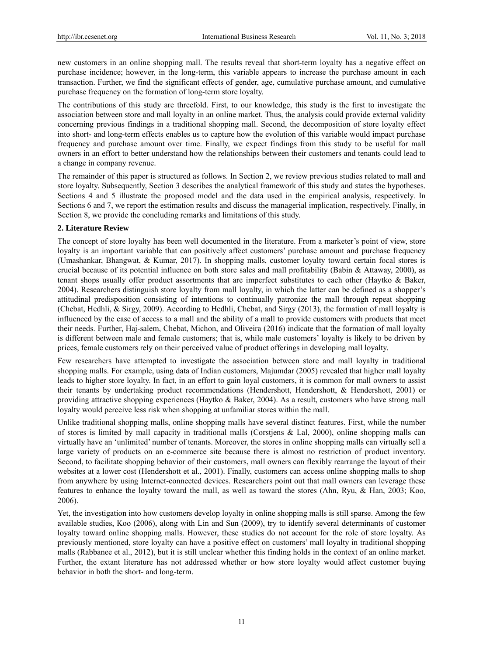new customers in an online shopping mall. The results reveal that short-term loyalty has a negative effect on purchase incidence; however, in the long-term, this variable appears to increase the purchase amount in each transaction. Further, we find the significant effects of gender, age, cumulative purchase amount, and cumulative purchase frequency on the formation of long-term store loyalty.

The contributions of this study are threefold. First, to our knowledge, this study is the first to investigate the association between store and mall loyalty in an online market. Thus, the analysis could provide external validity concerning previous findings in a traditional shopping mall. Second, the decomposition of store loyalty effect into short- and long-term effects enables us to capture how the evolution of this variable would impact purchase frequency and purchase amount over time. Finally, we expect findings from this study to be useful for mall owners in an effort to better understand how the relationships between their customers and tenants could lead to a change in company revenue.

The remainder of this paper is structured as follows. In Section 2, we review previous studies related to mall and store loyalty. Subsequently, Section 3 describes the analytical framework of this study and states the hypotheses. Sections 4 and 5 illustrate the proposed model and the data used in the empirical analysis, respectively. In Sections 6 and 7, we report the estimation results and discuss the managerial implication, respectively. Finally, in Section 8, we provide the concluding remarks and limitations of this study.

## **2. Literature Review**

The concept of store loyalty has been well documented in the literature. From a marketer's point of view, store loyalty is an important variable that can positively affect customers' purchase amount and purchase frequency (Umashankar, Bhangwat, & Kumar, 2017). In shopping malls, customer loyalty toward certain focal stores is crucial because of its potential influence on both store sales and mall profitability (Babin & Attaway, 2000), as tenant shops usually offer product assortments that are imperfect substitutes to each other (Haytko & Baker, 2004). Researchers distinguish store loyalty from mall loyalty, in which the latter can be defined as a shopper's attitudinal predisposition consisting of intentions to continually patronize the mall through repeat shopping (Chebat, Hedhli, & Sirgy, 2009). According to Hedhli, Chebat, and Sirgy (2013), the formation of mall loyalty is influenced by the ease of access to a mall and the ability of a mall to provide customers with products that meet their needs. Further, Haj-salem, Chebat, Michon, and Oliveira (2016) indicate that the formation of mall loyalty is different between male and female customers; that is, while male customers' loyalty is likely to be driven by prices, female customers rely on their perceived value of product offerings in developing mall loyalty.

Few researchers have attempted to investigate the association between store and mall loyalty in traditional shopping malls. For example, using data of Indian customers, Majumdar (2005) revealed that higher mall loyalty leads to higher store loyalty. In fact, in an effort to gain loyal customers, it is common for mall owners to assist their tenants by undertaking product recommendations (Hendershott, Hendershott, & Hendershott, 2001) or providing attractive shopping experiences (Haytko & Baker, 2004). As a result, customers who have strong mall loyalty would perceive less risk when shopping at unfamiliar stores within the mall.

Unlike traditional shopping malls, online shopping malls have several distinct features. First, while the number of stores is limited by mall capacity in traditional malls (Corstjens & Lal, 2000), online shopping malls can virtually have an 'unlimited' number of tenants. Moreover, the stores in online shopping malls can virtually sell a large variety of products on an e-commerce site because there is almost no restriction of product inventory. Second, to facilitate shopping behavior of their customers, mall owners can flexibly rearrange the layout of their websites at a lower cost (Hendershott et al., 2001). Finally, customers can access online shopping malls to shop from anywhere by using Internet-connected devices. Researchers point out that mall owners can leverage these features to enhance the loyalty toward the mall, as well as toward the stores (Ahn, Ryu, & Han, 2003; Koo, 2006).

Yet, the investigation into how customers develop loyalty in online shopping malls is still sparse. Among the few available studies, Koo (2006), along with Lin and Sun (2009), try to identify several determinants of customer loyalty toward online shopping malls. However, these studies do not account for the role of store loyalty. As previously mentioned, store loyalty can have a positive effect on customers' mall loyalty in traditional shopping malls (Rabbanee et al., 2012), but it is still unclear whether this finding holds in the context of an online market. Further, the extant literature has not addressed whether or how store loyalty would affect customer buying behavior in both the short- and long-term.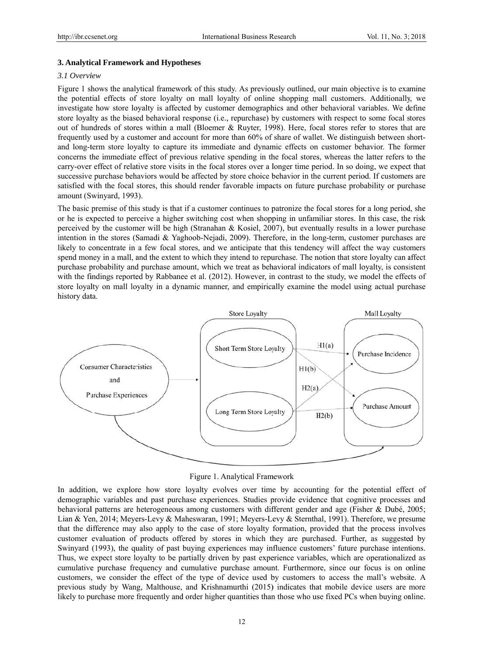## **3. Analytical Framework and Hypotheses**

## 3.1 Overview

Figure 1 shows the analytical framework of this study. As previously outlined, our main objective is to examine the potential effects of store loyalty on mall loyalty of online shopping mall customers. Additionally, we investigate how store loyalty is affected by customer demographics and other behavioral variables. We define store loyalty as the biased behavioral response (i.e., repurchase) by customers with respect to some focal stores out of hundreds of stores within a mall (Bloemer & Ruyter, 1998). Here, focal stores refer to stores that are frequently used by a customer and account for more than 60% of share of wallet. We distinguish between shortand long-term store loyalty to capture its immediate and dynamic effects on customer behavior. The former concerns the immediate effect of previous relative spending in the focal stores, whereas the latter refers to the carry-over effect of relative store visits in the focal stores over a longer time period. In so doing, we expect that successive purchase behaviors would be affected by store choice behavior in the current period. If customers are satisfied with the focal stores, this should render favorable impacts on future purchase probability or purchase amount (S winyard, 1993 3).

The basic premise of this study is that if a customer continues to patronize the focal stores for a long period, she or he is expected to perceive a higher switching cost when shopping in unfamiliar stores. In this case, the risk perceived by the customer will be high (Stranahan & Kosiel, 2007), but eventually results in a lower purchase intention in the stores (Samadi & Yaghoob-Nejadi, 2009). Therefore, in the long-term, customer purchases are likely to concentrate in a few focal stores, and we anticipate that this tendency will affect the way customers spend money in a mall, and the extent to which they intend to repurchase. The notion that store loyalty can affect purchase probability and purchase amount, which we treat as behavioral indicators of mall loyalty, is consistent with the findings reported by Rabbanee et al. (2012). However, in contrast to the study, we model the effects of store loyalty on mall loyalty in a dynamic manner, and empirically examine the model using actual purchase history data.



Figure 1. Analytical Framework

In addition, we explore how store loyalty evolves over time by accounting for the potential effect of demographic variables and past purchase experiences. Studies provide evidence that cognitive processes and behavioral patterns are heterogeneous among customers with different gender and age (Fisher & Dubé, 2005; Lian & Yen, 2014; Meyers-Levy & Maheswaran, 1991; Meyers-Levy & Sternthal, 1991). Therefore, we presume that the difference may also apply to the case of store loyalty formation, provided that the process involves customer evaluation of products offered by stores in which they are purchased. Further, as suggested by Swinyard (1993), the quality of past buying experiences may influence customers' future purchase intentions. Thus, we expect store loyalty to be partially driven by past experience variables, which are operationalized as cumulative purchase frequency and cumulative purchase amount. Furthermore, since our focus is on online customers, we consider the effect of the type of device used by customers to access the mall's website. A previous study by Wang, Malthouse, and Krishnamurthi (2015) indicates that mobile device users are more likely to purchase more frequently and order higher quantities than those who use fixed PCs when buying online.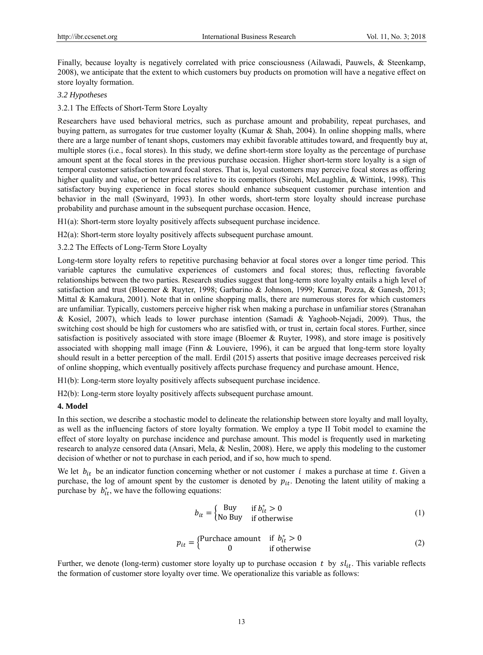Finally, because loyalty is negatively correlated with price consciousness (Ailawadi, Pauwels, & Steenkamp, 2008), we anticipate that the extent to which customers buy products on promotion will have a negative effect on store loyalty formation.

## *3.2 Hypotheses*

# 3.2.1 The Effects of Short-Term Store Loyalty

Researchers have used behavioral metrics, such as purchase amount and probability, repeat purchases, and buying pattern, as surrogates for true customer loyalty (Kumar & Shah, 2004). In online shopping malls, where there are a large number of tenant shops, customers may exhibit favorable attitudes toward, and frequently buy at, multiple stores (i.e., focal stores). In this study, we define short-term store loyalty as the percentage of purchase amount spent at the focal stores in the previous purchase occasion. Higher short-term store loyalty is a sign of temporal customer satisfaction toward focal stores. That is, loyal customers may perceive focal stores as offering higher quality and value, or better prices relative to its competitors (Sirohi, McLaughlin, & Wittink, 1998). This satisfactory buying experience in focal stores should enhance subsequent customer purchase intention and behavior in the mall (Swinyard, 1993). In other words, short-term store loyalty should increase purchase probability and purchase amount in the subsequent purchase occasion. Hence,

H1(a): Short-term store loyalty positively affects subsequent purchase incidence.

H2(a): Short-term store loyalty positively affects subsequent purchase amount.

## 3.2.2 The Effects of Long-Term Store Loyalty

Long-term store loyalty refers to repetitive purchasing behavior at focal stores over a longer time period. This variable captures the cumulative experiences of customers and focal stores; thus, reflecting favorable relationships between the two parties. Research studies suggest that long-term store loyalty entails a high level of satisfaction and trust (Bloemer & Ruyter, 1998; Garbarino & Johnson, 1999; Kumar, Pozza, & Ganesh, 2013; Mittal & Kamakura, 2001). Note that in online shopping malls, there are numerous stores for which customers are unfamiliar. Typically, customers perceive higher risk when making a purchase in unfamiliar stores (Stranahan & Kosiel, 2007), which leads to lower purchase intention (Samadi & Yaghoob-Nejadi, 2009). Thus, the switching cost should be high for customers who are satisfied with, or trust in, certain focal stores. Further, since satisfaction is positively associated with store image (Bloemer & Ruyter, 1998), and store image is positively associated with shopping mall image (Finn & Louviere, 1996), it can be argued that long-term store loyalty should result in a better perception of the mall. Erdil (2015) asserts that positive image decreases perceived risk of online shopping, which eventually positively affects purchase frequency and purchase amount. Hence,

H1(b): Long-term store loyalty positively affects subsequent purchase incidence.

H2(b): Long-term store loyalty positively affects subsequent purchase amount.

## **4. Model**

In this section, we describe a stochastic model to delineate the relationship between store loyalty and mall loyalty, as well as the influencing factors of store loyalty formation. We employ a type II Tobit model to examine the effect of store loyalty on purchase incidence and purchase amount. This model is frequently used in marketing research to analyze censored data (Ansari, Mela, & Neslin, 2008). Here, we apply this modeling to the customer decision of whether or not to purchase in each period, and if so, how much to spend.

We let  $b_{it}$  be an indicator function concerning whether or not customer *i* makes a purchase at time *t*. Given a purchase, the log of amount spent by the customer is denoted by  $p_{it}$ . Denoting the latent utility of making a purchase by  $b_{it}^*$ , we have the following equations:

$$
b_{it} =\begin{cases} \text{Buy} & \text{if } b_{it}^* > 0\\ \text{No Buy} & \text{if otherwise} \end{cases}
$$
 (1)

$$
p_{it} = \begin{cases} \text{Purchace amount} & \text{if } b_{it}^* > 0\\ 0 & \text{if otherwise} \end{cases} \tag{2}
$$

Further, we denote (long-term) customer store loyalty up to purchase occasion  $t$  by  $sl_{it}$ . This variable reflects the formation of customer store loyalty over time. We operationalize this variable as follows: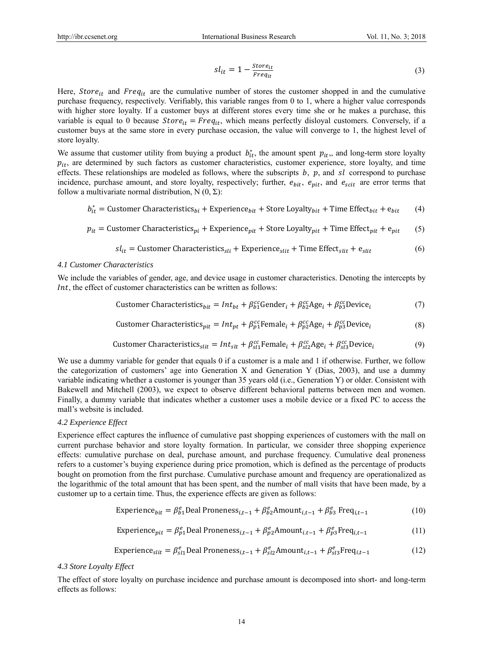$$
sl_{it} = 1 - \frac{Store_{it}}{Freq_{it}} \tag{3}
$$

Here,  $Store_{it}$  and  $Freq_{it}$  are the cumulative number of stores the customer shopped in and the cumulative purchase frequency, respectively. Verifiably, this variable ranges from 0 to 1, where a higher value corresponds with higher store loyalty. If a customer buys at different stores every time she or he makes a purchase, this variable is equal to 0 because  $Store_{it} = Freq_{it}$ , which means perfectly disloyal customers. Conversely, if a customer buys at the same store in every purchase occasion, the value will converge to 1, the highest level of store loyalty.

We assume that customer utility from buying a product  $b_{it}^*$ , the amount spent  $p_{it}$ , and long-term store loyalty  $p_{it}$ , are determined by such factors as customer characteristics, customer experience, store loyalty, and time effects. These relationships are modeled as follows, where the subscripts  $b$ ,  $p$ , and  $sl$  correspond to purchase incidence, purchase amount, and store loyalty, respectively; further,  $e_{bit}$ ,  $e_{pit}$ , and  $e_{scit}$  are error terms that follow a multivariate normal distribution,  $N(0, \Sigma)$ :

$$
b_{it}^* = \text{Customer Characteristics}_{bi} + \text{Experience}_{bit} + \text{Store Loyalty}_{bit} + \text{Time Effect}_{bit} + e_{bit}
$$
 (4)

$$
p_{it}
$$
 = Customer Characteristics<sub>pi</sub> + Experience<sub>pit</sub> + Store Loyalty<sub>pit</sub> + Time Effect<sub>pit</sub> + e<sub>pit</sub> (5)

$$
sl_{it} = \text{Customer Characteristics}_{slit} + \text{Experience}_{slit} + \text{Time Effect}_{slit} + e_{slit}
$$
 (6)

#### *4.1 Customer Characteristics*

We include the variables of gender, age, and device usage in customer characteristics. Denoting the intercepts by Int, the effect of customer characteristics can be written as follows:

Customer Characteristics<sub>bit</sub> = Int<sub>bt</sub> + 
$$
\beta_{b1}^{cc}
$$
Gender<sub>i</sub> +  $\beta_{b2}^{cc}$ Age<sub>i</sub> +  $\beta_{b3}^{cc}$ Device<sub>i</sub> (7)

$$
Customer Characteristics_{pit} = Int_{pt} + \beta_{p1}^{cc} Female_i + \beta_{p2}^{cc} Age_i + \beta_{p3}^{cc} Device_i
$$
\n(8)

Customer Characteristics<sub>slit</sub> = Int<sub>slt</sub> + 
$$
\beta_{s11}^{cc}
$$
 Female<sub>i</sub> +  $\beta_{s12}^{cc}$  Age<sub>i</sub> +  $\beta_{s13}^{cc}$  Device<sub>i</sub> (9)

We use a dummy variable for gender that equals 0 if a customer is a male and 1 if otherwise. Further, we follow the categorization of customers' age into Generation X and Generation Y (Dias, 2003), and use a dummy variable indicating whether a customer is younger than 35 years old (i.e., Generation Y) or older. Consistent with Bakewell and Mitchell (2003), we expect to observe different behavioral patterns between men and women. Finally, a dummy variable that indicates whether a customer uses a mobile device or a fixed PC to access the mall's website is included.

# *4.2 Experience Effect*

Experience effect captures the influence of cumulative past shopping experiences of customers with the mall on current purchase behavior and store loyalty formation. In particular, we consider three shopping experience effects: cumulative purchase on deal, purchase amount, and purchase frequency. Cumulative deal proneness refers to a customer's buying experience during price promotion, which is defined as the percentage of products bought on promotion from the first purchase. Cumulative purchase amount and frequency are operationalized as the logarithmic of the total amount that has been spent, and the number of mall visits that have been made, by a customer up to a certain time. Thus, the experience effects are given as follows:

$$
Experience_{bit} = \beta_{b1}^e
$$
Deal Proneness<sub>i,t-1</sub> +  $\beta_{b2}^e$ Amount<sub>i,t-1</sub> +  $\beta_{b3}^e$ Freq<sub>i,t-1</sub> (10)

$$
Experience_{pit} = \beta_{p1}^e
$$
 Deal Proneness<sub>i,t-1</sub> +  $\beta_{p2}^e$ Amount<sub>i,t-1</sub> +  $\beta_{p3}^e$ Freq<sub>i,t-1</sub> (11)

$$
\text{Experience}_{slit} = \beta_{sl1}^e \text{Deal Proneness}_{i,t-1} + \beta_{sl2}^e \text{Amount}_{i,t-1} + \beta_{sl3}^e \text{Freq}_{i,t-1} \tag{12}
$$

## *4.3 Store Loyalty Effect*

The effect of store loyalty on purchase incidence and purchase amount is decomposed into short- and long-term effects as follows: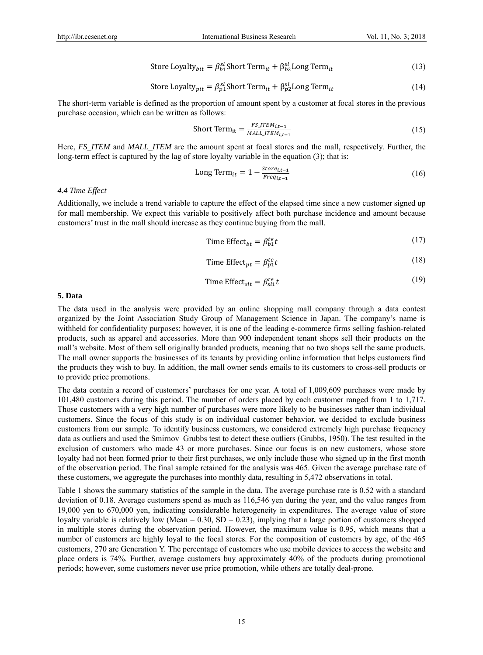$$
Store Loyalty_{bit} = \beta_{b1}^{sl} Short Term_{it} + \beta_{b2}^{sl} Long Term_{it}
$$
 (13)

$$
Store Loyalty_{pit} = \beta_{p1}^{sl} Short Term_{it} + \beta_{p2}^{sl} Long Term_{it}
$$
 (14)

The short-term variable is defined as the proportion of amount spent by a customer at focal stores in the previous purchase occasion, which can be written as follows:

$$
Short Term_{it} = \frac{FS\_ITEM_{it-1}}{MALL\_ITEM_{it-1}}
$$
\n(15)

Here, *FS\_ITEM* and *MALL\_ITEM* are the amount spent at focal stores and the mall, respectively. Further, the long-term effect is captured by the lag of store loyalty variable in the equation (3); that is:

Long Term<sub>it</sub> = 
$$
1 - \frac{Store_{i,t-1}}{Freq_{i,t-1}}
$$
 (16)

#### *4.4 Time Effect*

Additionally, we include a trend variable to capture the effect of the elapsed time since a new customer signed up for mall membership. We expect this variable to positively affect both purchase incidence and amount because customers' trust in the mall should increase as they continue buying from the mall.

$$
Time Effect_{bt} = \beta_{b1}^{te}t \tag{17}
$$

$$
Time Effect_{pt} = \beta_{p1}^{te} t \tag{18}
$$

$$
Time Effect_{slt} = \beta_{sl1}^{te} t \tag{19}
$$

### **5. Data**

The data used in the analysis were provided by an online shopping mall company through a data contest organized by the Joint Association Study Group of Management Science in Japan. The company's name is withheld for confidentiality purposes; however, it is one of the leading e-commerce firms selling fashion-related products, such as apparel and accessories. More than 900 independent tenant shops sell their products on the mall's website. Most of them sell originally branded products, meaning that no two shops sell the same products. The mall owner supports the businesses of its tenants by providing online information that helps customers find the products they wish to buy. In addition, the mall owner sends emails to its customers to cross-sell products or to provide price promotions.

The data contain a record of customers' purchases for one year. A total of 1,009,609 purchases were made by 101,480 customers during this period. The number of orders placed by each customer ranged from 1 to 1,717. Those customers with a very high number of purchases were more likely to be businesses rather than individual customers. Since the focus of this study is on individual customer behavior, we decided to exclude business customers from our sample. To identify business customers, we considered extremely high purchase frequency data as outliers and used the Smirnov–Grubbs test to detect these outliers (Grubbs, 1950). The test resulted in the exclusion of customers who made 43 or more purchases. Since our focus is on new customers, whose store loyalty had not been formed prior to their first purchases, we only include those who signed up in the first month of the observation period. The final sample retained for the analysis was 465. Given the average purchase rate of these customers, we aggregate the purchases into monthly data, resulting in 5,472 observations in total.

Table 1 shows the summary statistics of the sample in the data. The average purchase rate is 0.52 with a standard deviation of 0.18. Average customers spend as much as 116,546 yen during the year, and the value ranges from 19,000 yen to 670,000 yen, indicating considerable heterogeneity in expenditures. The average value of store loyalty variable is relatively low (Mean =  $0.30$ , SD =  $0.23$ ), implying that a large portion of customers shopped in multiple stores during the observation period. However, the maximum value is 0.95, which means that a number of customers are highly loyal to the focal stores. For the composition of customers by age, of the 465 customers, 270 are Generation Y. The percentage of customers who use mobile devices to access the website and place orders is 74%. Further, average customers buy approximately 40% of the products during promotional periods; however, some customers never use price promotion, while others are totally deal-prone.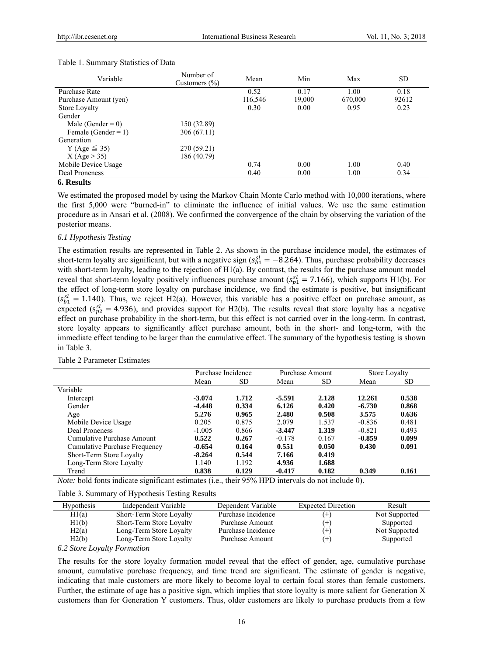## Table 1. Summary Statistics of Data

| Variable               | Number of<br>Customers $(\% )$ | Mean    | Min    | Max     | <b>SD</b> |
|------------------------|--------------------------------|---------|--------|---------|-----------|
| Purchase Rate          |                                | 0.52    | 0.17   | 1.00    | 0.18      |
| Purchase Amount (yen)  |                                | 116,546 | 19,000 | 670,000 | 92612     |
| <b>Store Loyalty</b>   |                                | 0.30    | 0.00   | 0.95    | 0.23      |
| Gender                 |                                |         |        |         |           |
| Male (Gender = $0$ )   | 150 (32.89)                    |         |        |         |           |
| Female (Gender = $1$ ) | 306(67.11)                     |         |        |         |           |
| Generation             |                                |         |        |         |           |
| Y (Age $\leq$ 35)      | 270 (59.21)                    |         |        |         |           |
| X (Age > 35)           | 186 (40.79)                    |         |        |         |           |
| Mobile Device Usage    |                                | 0.74    | 0.00   | 1.00    | 0.40      |
| Deal Proneness         |                                | 0.40    | 0.00   | 1.00    | 0.34      |
|                        |                                |         |        |         |           |

## **6. Results**

We estimated the proposed model by using the Markov Chain Monte Carlo method with 10,000 iterations, where the first 5,000 were "burned-in" to eliminate the influence of initial values. We use the same estimation procedure as in Ansari et al. (2008). We confirmed the convergence of the chain by observing the variation of the posterior means.

#### *6.1 Hypothesis Testing*

The estimation results are represented in Table 2. As shown in the purchase incidence model, the estimates of short-term loyalty are significant, but with a negative sign  $(s_{b1}^{sl} = -8.264)$ . Thus, purchase probability decreases with short-term loyalty, leading to the rejection of  $H1(a)$ . By contrast, the results for the purchase amount model reveal that short-term loyalty positively influences purchase amount  $(s_{p1}^{sl} = 7.166)$ , which supports H1(b). For the effect of long-term store loyalty on purchase incidence, we find the estimate is positive, but insignificant  $(s_{b1}^{sl} = 1.140)$ . Thus, we reject H2(a). However, this variable has a positive effect on purchase amount, as expected ( $s_{p2}^{sl}$  = 4.936), and provides support for H2(b). The results reveal that store loyalty has a negative effect on purchase probability in the short-term, but this effect is not carried over in the long-term. In contrast, store loyalty appears to significantly affect purchase amount, both in the short- and long-term, with the immediate effect tending to be larger than the cumulative effect. The summary of the hypothesis testing is shown in Table 3.

|                               |          | Purchase Incidence |          | Purchase Amount | Store Lovalty |           |
|-------------------------------|----------|--------------------|----------|-----------------|---------------|-----------|
|                               | Mean     | SD.                | Mean     | <b>SD</b>       | Mean          | <b>SD</b> |
| Variable                      |          |                    |          |                 |               |           |
| Intercept                     | $-3.074$ | 1.712              | $-5.591$ | 2.128           | 12.261        | 0.538     |
| Gender                        | $-4.448$ | 0.334              | 6.126    | 0.420           | $-6.730$      | 0.868     |
| Age                           | 5.276    | 0.965              | 2.480    | 0.508           | 3.575         | 0.636     |
| Mobile Device Usage           | 0.205    | 0.875              | 2.079    | 1.537           | $-0.836$      | 0.481     |
| Deal Proneness                | $-1.005$ | 0.866              | $-3.447$ | 1.319           | $-0.821$      | 0.493     |
| Cumulative Purchase Amount    | 0.522    | 0.267              | $-0.178$ | 0.167           | $-0.859$      | 0.099     |
| Cumulative Purchase Frequency | $-0.654$ | 0.164              | 0.551    | 0.050           | 0.430         | 0.091     |
| Short-Term Store Loyalty      | $-8.264$ | 0.544              | 7.166    | 0.419           |               |           |
| Long-Term Store Loyalty       | 1.140    | 1.192              | 4.936    | 1.688           |               |           |
| Trend                         | 0.838    | 0.129              | $-0.417$ | 0.182           | 0.349         | 0.161     |

#### Table 2 Parameter Estimates

*Note:* bold fonts indicate significant estimates (i.e., their 95% HPD intervals do not include 0).

## Table 3. Summary of Hypothesis Testing Results

| <b>Hypothesis</b> | Independent Variable     | Dependent Variable | <b>Expected Direction</b> | Result        |
|-------------------|--------------------------|--------------------|---------------------------|---------------|
| H1(a)             | Short-Term Store Loyalty | Purchase Incidence | $^{(+)}$                  | Not Supported |
| H1(b)             | Short-Term Store Loyalty | Purchase Amount    | $(+)$                     | Supported     |
| H2(a)             | Long-Term Store Loyalty  | Purchase Incidence | $^{(+)}$                  | Not Supported |
| H2(b)             | Long-Term Store Loyalty  | Purchase Amount    | . + '                     | Supported     |

#### *6.2 Store Loyalty Formation*

The results for the store loyalty formation model reveal that the effect of gender, age, cumulative purchase amount, cumulative purchase frequency, and time trend are significant. The estimate of gender is negative, indicating that male customers are more likely to become loyal to certain focal stores than female customers. Further, the estimate of age has a positive sign, which implies that store loyalty is more salient for Generation X customers than for Generation Y customers. Thus, older customers are likely to purchase products from a few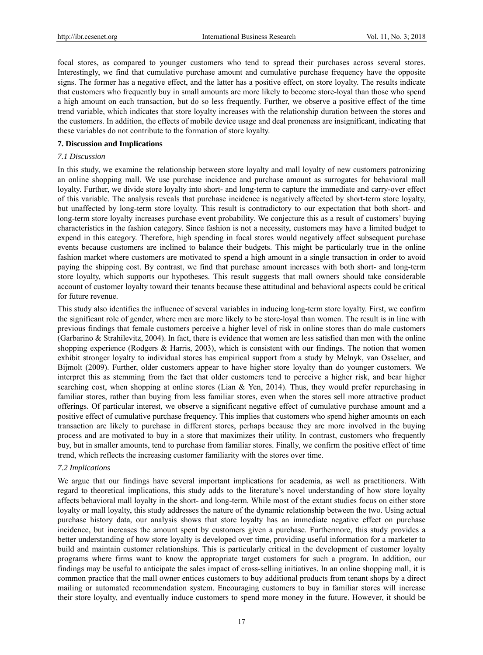focal stores, as compared to younger customers who tend to spread their purchases across several stores. Interestingly, we find that cumulative purchase amount and cumulative purchase frequency have the opposite signs. The former has a negative effect, and the latter has a positive effect, on store loyalty. The results indicate that customers who frequently buy in small amounts are more likely to become store-loyal than those who spend a high amount on each transaction, but do so less frequently. Further, we observe a positive effect of the time trend variable, which indicates that store loyalty increases with the relationship duration between the stores and the customers. In addition, the effects of mobile device usage and deal proneness are insignificant, indicating that these variables do not contribute to the formation of store loyalty.

#### **7. Discussion and Implications**

#### *7.1 Discussion*

In this study, we examine the relationship between store loyalty and mall loyalty of new customers patronizing an online shopping mall. We use purchase incidence and purchase amount as surrogates for behavioral mall loyalty. Further, we divide store loyalty into short- and long-term to capture the immediate and carry-over effect of this variable. The analysis reveals that purchase incidence is negatively affected by short-term store loyalty, but unaffected by long-term store loyalty. This result is contradictory to our expectation that both short- and long-term store loyalty increases purchase event probability. We conjecture this as a result of customers' buying characteristics in the fashion category. Since fashion is not a necessity, customers may have a limited budget to expend in this category. Therefore, high spending in focal stores would negatively affect subsequent purchase events because customers are inclined to balance their budgets. This might be particularly true in the online fashion market where customers are motivated to spend a high amount in a single transaction in order to avoid paying the shipping cost. By contrast, we find that purchase amount increases with both short- and long-term store loyalty, which supports our hypotheses. This result suggests that mall owners should take considerable account of customer loyalty toward their tenants because these attitudinal and behavioral aspects could be critical for future revenue.

This study also identifies the influence of several variables in inducing long-term store loyalty. First, we confirm the significant role of gender, where men are more likely to be store-loyal than women. The result is in line with previous findings that female customers perceive a higher level of risk in online stores than do male customers (Garbarino & Strahilevitz, 2004). In fact, there is evidence that women are less satisfied than men with the online shopping experience (Rodgers & Harris, 2003), which is consistent with our findings. The notion that women exhibit stronger loyalty to individual stores has empirical support from a study by Melnyk, van Osselaer, and Bijmolt (2009). Further, older customers appear to have higher store loyalty than do younger customers. We interpret this as stemming from the fact that older customers tend to perceive a higher risk, and bear higher searching cost, when shopping at online stores (Lian & Yen, 2014). Thus, they would prefer repurchasing in familiar stores, rather than buying from less familiar stores, even when the stores sell more attractive product offerings. Of particular interest, we observe a significant negative effect of cumulative purchase amount and a positive effect of cumulative purchase frequency. This implies that customers who spend higher amounts on each transaction are likely to purchase in different stores, perhaps because they are more involved in the buying process and are motivated to buy in a store that maximizes their utility. In contrast, customers who frequently buy, but in smaller amounts, tend to purchase from familiar stores. Finally, we confirm the positive effect of time trend, which reflects the increasing customer familiarity with the stores over time.

#### *7.2 Implications*

We argue that our findings have several important implications for academia, as well as practitioners. With regard to theoretical implications, this study adds to the literature's novel understanding of how store loyalty affects behavioral mall loyalty in the short- and long-term. While most of the extant studies focus on either store loyalty or mall loyalty, this study addresses the nature of the dynamic relationship between the two. Using actual purchase history data, our analysis shows that store loyalty has an immediate negative effect on purchase incidence, but increases the amount spent by customers given a purchase. Furthermore, this study provides a better understanding of how store loyalty is developed over time, providing useful information for a marketer to build and maintain customer relationships. This is particularly critical in the development of customer loyalty programs where firms want to know the appropriate target customers for such a program. In addition, our findings may be useful to anticipate the sales impact of cross-selling initiatives. In an online shopping mall, it is common practice that the mall owner entices customers to buy additional products from tenant shops by a direct mailing or automated recommendation system. Encouraging customers to buy in familiar stores will increase their store loyalty, and eventually induce customers to spend more money in the future. However, it should be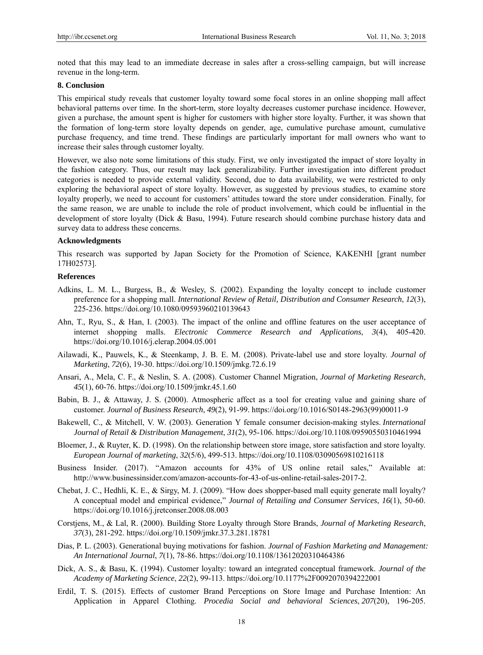noted that this may lead to an immediate decrease in sales after a cross-selling campaign, but will increase revenue in the long-term.

### **8. Conclusion**

This empirical study reveals that customer loyalty toward some focal stores in an online shopping mall affect behavioral patterns over time. In the short-term, store loyalty decreases customer purchase incidence. However, given a purchase, the amount spent is higher for customers with higher store loyalty. Further, it was shown that the formation of long-term store loyalty depends on gender, age, cumulative purchase amount, cumulative purchase frequency, and time trend. These findings are particularly important for mall owners who want to increase their sales through customer loyalty.

However, we also note some limitations of this study. First, we only investigated the impact of store loyalty in the fashion category. Thus, our result may lack generalizability. Further investigation into different product categories is needed to provide external validity. Second, due to data availability, we were restricted to only exploring the behavioral aspect of store loyalty. However, as suggested by previous studies, to examine store loyalty properly, we need to account for customers' attitudes toward the store under consideration. Finally, for the same reason, we are unable to include the role of product involvement, which could be influential in the development of store loyalty (Dick & Basu, 1994). Future research should combine purchase history data and survey data to address these concerns.

## **Acknowledgments**

This research was supported by Japan Society for the Promotion of Science, KAKENHI [grant number 17H02573].

## **References**

- Adkins, L. M. L., Burgess, B., & Wesley, S. (2002). Expanding the loyalty concept to include customer preference for a shopping mall. *International Review of Retail, Distribution and Consumer Research*, *12*(3), 225-236. https://doi.org/10.1080/09593960210139643
- Ahn, T., Ryu, S., & Han, I. (2003). The impact of the online and offline features on the user acceptance of internet shopping malls. *Electronic Commerce Research and Applications*, *3*(4), 405-420. https://doi.org/10.1016/j.elerap.2004.05.001
- Ailawadi, K., Pauwels, K., & Steenkamp, J. B. E. M. (2008). Private-label use and store loyalty. *Journal of Marketing*, *72*(6), 19-30. https://doi.org/10.1509/jmkg.72.6.19
- Ansari, A., Mela, C. F., & Neslin, S. A. (2008). Customer Channel Migration, *Journal of Marketing Research*, *45*(1), 60-76. https://doi.org/10.1509/jmkr.45.1.60
- Babin, B. J., & Attaway, J. S. (2000). Atmospheric affect as a tool for creating value and gaining share of customer. *Journal of Business Research*, *49*(2), 91-99. https://doi.org/10.1016/S0148-2963(99)00011-9
- Bakewell, C., & Mitchell, V. W. (2003). Generation Y female consumer decision-making styles. *International Journal of Retail & Distribution Management*, *31*(2), 95-106. https://doi.org/10.1108/09590550310461994
- Bloemer, J., & Ruyter, K. D. (1998). On the relationship between store image, store satisfaction and store loyalty. *European Journal of marketing*, *32*(5/6), 499-513. https://doi.org/10.1108/03090569810216118
- Business Insider. (2017). "Amazon accounts for 43% of US online retail sales," Available at: http://www.businessinsider.com/amazon-accounts-for-43-of-us-online-retail-sales-2017-2.
- Chebat, J. C., Hedhli, K. E., & Sirgy, M. J. (2009). "How does shopper-based mall equity generate mall loyalty? A conceptual model and empirical evidence," *Journal of Retailing and Consumer Services*, *16*(1), 50-60. https://doi.org/10.1016/j.jretconser.2008.08.003
- Corstjens, M., & Lal, R. (2000). Building Store Loyalty through Store Brands, *Journal of Marketing Research*, *37*(3), 281-292. https://doi.org/10.1509/jmkr.37.3.281.18781
- Dias, P. L. (2003). Generational buying motivations for fashion. *Journal of Fashion Marketing and Management: An International Journal*, *7*(1), 78-86. https://doi.org/10.1108/13612020310464386
- Dick, A. S., & Basu, K. (1994). Customer loyalty: toward an integrated conceptual framework. *Journal of the Academy of Marketing Science*, *22*(2), 99-113. https://doi.org/10.1177%2F0092070394222001
- Erdil, T. S. (2015). Effects of customer Brand Perceptions on Store Image and Purchase Intention: An Application in Apparel Clothing. *Procedia Social and behavioral Sciences*, *207*(20), 196-205.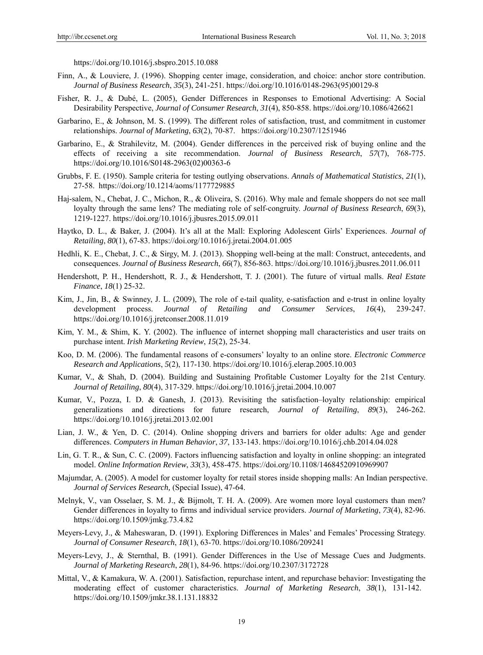https://doi.org/10.1016/j.sbspro.2015.10.088

- Finn, A., & Louviere, J. (1996). Shopping center image, consideration, and choice: anchor store contribution. *Journal of Business Research*, *35*(3), 241-251. https://doi.org/10.1016/0148-2963(95)00129-8
- Fisher, R. J., & Dubé, L. (2005), Gender Differences in Responses to Emotional Advertising: A Social Desirability Perspective, *Journal of Consumer Research*, *31*(4), 850-858. https://doi.org/10.1086/426621
- Garbarino, E., & Johnson, M. S. (1999). The different roles of satisfaction, trust, and commitment in customer relationships. *Journal of Marketing*, *63*(2), 70-87. https://doi.org/10.2307/1251946
- Garbarino, E., & Strahilevitz, M. (2004). Gender differences in the perceived risk of buying online and the effects of receiving a site recommendation. *Journal of Business Research*, *57*(7), 768-775. https://doi.org/10.1016/S0148-2963(02)00363-6
- Grubbs, F. E. (1950). Sample criteria for testing outlying observations. *Annals of Mathematical Statistics*, *21*(1), 27-58. https://doi.org/10.1214/aoms/1177729885
- Haj-salem, N., Chebat, J. C., Michon, R., & Oliveira, S. (2016). Why male and female shoppers do not see mall loyalty through the same lens? The mediating role of self-congruity. *Journal of Business Research*, *69*(3), 1219-1227. https://doi.org/10.1016/j.jbusres.2015.09.011
- Haytko, D. L., & Baker, J. (2004). It's all at the Mall: Exploring Adolescent Girls' Experiences. *Journal of Retailing*, *80*(1), 67-83. https://doi.org/10.1016/j.jretai.2004.01.005
- Hedhli, K. E., Chebat, J. C., & Sirgy, M. J. (2013). Shopping well-being at the mall: Construct, antecedents, and consequences. *Journal of Business Research*, *66*(7), 856-863. https://doi.org/10.1016/j.jbusres.2011.06.011
- Hendershott, P. H., Hendershott, R. J., & Hendershott, T. J. (2001). The future of virtual malls. *Real Estate Finance*, *18*(1) 25-32.
- Kim, J., Jin, B., & Swinney, J. L. (2009), The role of e-tail quality, e-satisfaction and e-trust in online loyalty development process. *Journal of Retailing and Consumer Services*, *16*(4), 239-247. https://doi.org/10.1016/j.jretconser.2008.11.019
- Kim, Y. M., & Shim, K. Y. (2002). The influence of internet shopping mall characteristics and user traits on purchase intent. *Irish Marketing Review*, *15*(2), 25-34.
- Koo, D. M. (2006). The fundamental reasons of e-consumers' loyalty to an online store. *Electronic Commerce Research and Applications*, *5*(2), 117-130. https://doi.org/10.1016/j.elerap.2005.10.003
- Kumar, V., & Shah, D. (2004). Building and Sustaining Profitable Customer Loyalty for the 21st Century. *Journal of Retailing*, *80*(4), 317-329. https://doi.org/10.1016/j.jretai.2004.10.007
- Kumar, V., Pozza, I. D. & Ganesh, J. (2013). Revisiting the satisfaction–loyalty relationship: empirical generalizations and directions for future research, *Journal of Retailing*, *89*(3), 246-262. https://doi.org/10.1016/j.jretai.2013.02.001
- Lian, J. W., & Yen, D. C. (2014). Online shopping drivers and barriers for older adults: Age and gender differences. *Computers in Human Behavior*, *37*, 133-143. https://doi.org/10.1016/j.chb.2014.04.028
- Lin, G. T. R., & Sun, C. C. (2009). Factors influencing satisfaction and loyalty in online shopping: an integrated model. *Online Information Review*, *33*(3), 458-475. https://doi.org/10.1108/14684520910969907
- Majumdar, A. (2005). A model for customer loyalty for retail stores inside shopping malls: An Indian perspective. *Journal of Services Research,* (Special Issue), 47-64.
- Melnyk, V., van Osselaer, S. M. J., & Bijmolt, T. H. A. (2009). Are women more loyal customers than men? Gender differences in loyalty to firms and individual service providers. *Journal of Marketing*, *73*(4), 82-96. https://doi.org/10.1509/jmkg.73.4.82
- Meyers-Levy, J., & Maheswaran, D. (1991). Exploring Differences in Males' and Females' Processing Strategy. *Journal of Consumer Research*, *18*(1), 63-70. https://doi.org/10.1086/209241
- Meyers-Levy, J., & Sternthal, B. (1991). Gender Differences in the Use of Message Cues and Judgments. *Journal of Marketing Research*, *28*(1), 84-96. https://doi.org/10.2307/3172728
- Mittal, V., & Kamakura, W. A. (2001). Satisfaction, repurchase intent, and repurchase behavior: Investigating the moderating effect of customer characteristics. *Journal of Marketing Research*, *38*(1), 131-142. https://doi.org/10.1509/jmkr.38.1.131.18832